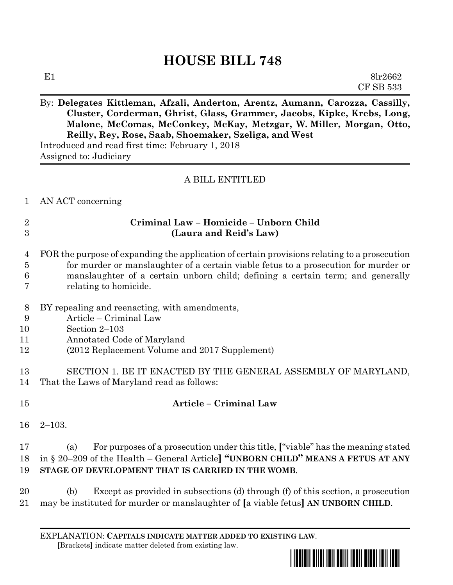# **HOUSE BILL 748**

#### By: **Delegates Kittleman, Afzali, Anderton, Arentz, Aumann, Carozza, Cassilly, Cluster, Corderman, Ghrist, Glass, Grammer, Jacobs, Kipke, Krebs, Long, Malone, McComas, McConkey, McKay, Metzgar, W. Miller, Morgan, Otto, Reilly, Rey, Rose, Saab, Shoemaker, Szeliga, and West**

Introduced and read first time: February 1, 2018 Assigned to: Judiciary

#### A BILL ENTITLED

AN ACT concerning

#### **Criminal Law – Homicide – Unborn Child (Laura and Reid's Law)**

|                | 4 FOR the purpose of expanding the application of certain provisions relating to a prosecution |
|----------------|------------------------------------------------------------------------------------------------|
| 5 <sup>5</sup> | for murder or manslaughter of a certain viable fetus to a prosecution for murder or            |
| 6              | manslaughter of a certain unborn child; defining a certain term; and generally                 |
| 7              | relating to homicide.                                                                          |

- BY repealing and reenacting, with amendments,
- Article Criminal Law
- Section 2–103
- Annotated Code of Maryland
- (2012 Replacement Volume and 2017 Supplement)
- SECTION 1. BE IT ENACTED BY THE GENERAL ASSEMBLY OF MARYLAND, That the Laws of Maryland read as follows:

## **Article – Criminal Law**

2–103.

### (a) For purposes of a prosecution under this title, **[**"viable" has the meaning stated in § 20–209 of the Health – General Article**] "UNBORN CHILD" MEANS A FETUS AT ANY STAGE OF DEVELOPMENT THAT IS CARRIED IN THE WOMB**.

 (b) Except as provided in subsections (d) through (f) of this section, a prosecution may be instituted for murder or manslaughter of **[**a viable fetus**] AN UNBORN CHILD**.

EXPLANATION: **CAPITALS INDICATE MATTER ADDED TO EXISTING LAW**.  **[**Brackets**]** indicate matter deleted from existing law.